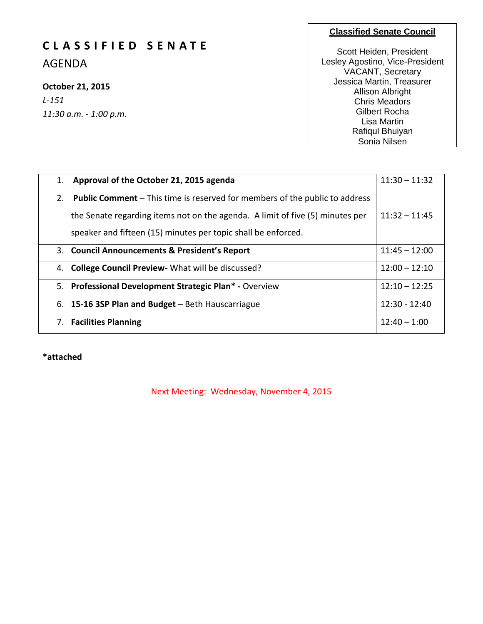## **C L A S S I F I E D S E N A T E**

AGENDA

#### **October 21, 2015**

*L-151 11:30 a.m. - 1:00 p.m.*

#### **Classified Senate Council**

Scott Heiden, President Lesley Agostino, Vice-President VACANT, Secretary Jessica Martin, Treasurer Allison Albright Chris Meadors Gilbert Rocha Lisa Martin Rafiqul Bhuiyan Sonia Nilsen

Wendy Holt

| 1. | Approval of the October 21, 2015 agenda                                            | $11:30 - 11:32$ |
|----|------------------------------------------------------------------------------------|-----------------|
| 2. | <b>Public Comment</b> – This time is reserved for members of the public to address |                 |
|    | the Senate regarding items not on the agenda. A limit of five (5) minutes per      | $11:32 - 11:45$ |
|    | speaker and fifteen (15) minutes per topic shall be enforced.                      |                 |
|    | 3. Council Announcements & President's Report                                      | $11:45 - 12:00$ |
|    | 4. College Council Preview - What will be discussed?                               | $12:00 - 12:10$ |
|    | 5. Professional Development Strategic Plan* - Overview                             | $12:10 - 12:25$ |
|    | 6. 15-16 3SP Plan and Budget - Beth Hauscarriague                                  | $12:30 - 12:40$ |
|    | 7. Facilities Planning                                                             | $12:40 - 1:00$  |

**\*attached**

Next Meeting: Wednesday, November 4, 2015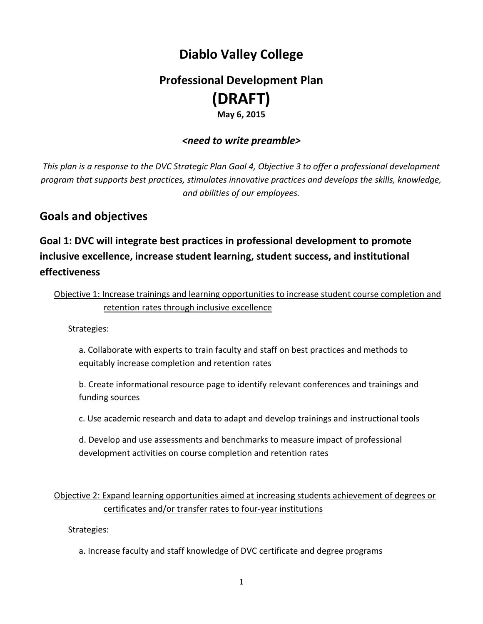# **Diablo Valley College**

# **Professional Development Plan (DRAFT) May 6, 2015**

### *<need to write preamble>*

*This plan is a response to the DVC Strategic Plan Goal 4, Objective 3 to offer a professional development program that supports best practices, stimulates innovative practices and develops the skills, knowledge, and abilities of our employees.*

## **Goals and objectives**

## **Goal 1: DVC will integrate best practices in professional development to promote inclusive excellence, increase student learning, student success, and institutional effectiveness**

Objective 1: Increase trainings and learning opportunities to increase student course completion and retention rates through inclusive excellence

Strategies:

a. Collaborate with experts to train faculty and staff on best practices and methods to equitably increase completion and retention rates

b. Create informational resource page to identify relevant conferences and trainings and funding sources

c. Use academic research and data to adapt and develop trainings and instructional tools

d. Develop and use assessments and benchmarks to measure impact of professional development activities on course completion and retention rates

### Objective 2: Expand learning opportunities aimed at increasing students achievement of degrees or certificates and/or transfer rates to four-year institutions

Strategies:

a. Increase faculty and staff knowledge of DVC certificate and degree programs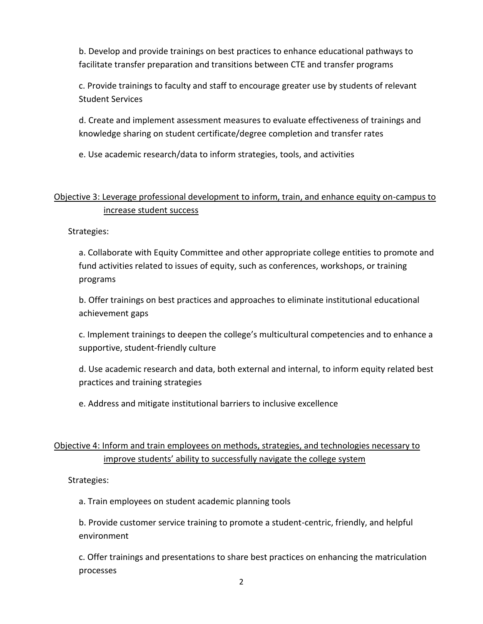b. Develop and provide trainings on best practices to enhance educational pathways to facilitate transfer preparation and transitions between CTE and transfer programs

c. Provide trainings to faculty and staff to encourage greater use by students of relevant Student Services

d. Create and implement assessment measures to evaluate effectiveness of trainings and knowledge sharing on student certificate/degree completion and transfer rates

e. Use academic research/data to inform strategies, tools, and activities

#### Objective 3: Leverage professional development to inform, train, and enhance equity on-campus to increase student success

Strategies:

a. Collaborate with Equity Committee and other appropriate college entities to promote and fund activities related to issues of equity, such as conferences, workshops, or training programs

b. Offer trainings on best practices and approaches to eliminate institutional educational achievement gaps

c. Implement trainings to deepen the college's multicultural competencies and to enhance a supportive, student-friendly culture

d. Use academic research and data, both external and internal, to inform equity related best practices and training strategies

e. Address and mitigate institutional barriers to inclusive excellence

### Objective 4: Inform and train employees on methods, strategies, and technologies necessary to improve students' ability to successfully navigate the college system

Strategies:

a. Train employees on student academic planning tools

b. Provide customer service training to promote a student-centric, friendly, and helpful environment

c. Offer trainings and presentations to share best practices on enhancing the matriculation processes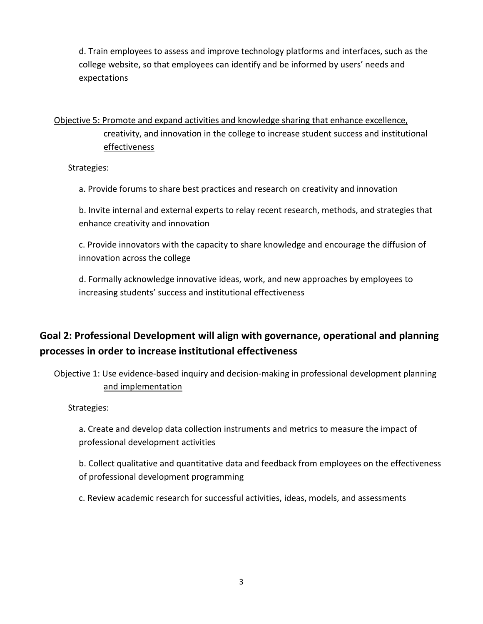d. Train employees to assess and improve technology platforms and interfaces, such as the college website, so that employees can identify and be informed by users' needs and expectations

## Objective 5: Promote and expand activities and knowledge sharing that enhance excellence, creativity, and innovation in the college to increase student success and institutional effectiveness

Strategies:

a. Provide forums to share best practices and research on creativity and innovation

b. Invite internal and external experts to relay recent research, methods, and strategies that enhance creativity and innovation

c. Provide innovators with the capacity to share knowledge and encourage the diffusion of innovation across the college

d. Formally acknowledge innovative ideas, work, and new approaches by employees to increasing students' success and institutional effectiveness

## **Goal 2: Professional Development will align with governance, operational and planning processes in order to increase institutional effectiveness**

## Objective 1: Use evidence-based inquiry and decision-making in professional development planning and implementation

Strategies:

a. Create and develop data collection instruments and metrics to measure the impact of professional development activities

b. Collect qualitative and quantitative data and feedback from employees on the effectiveness of professional development programming

c. Review academic research for successful activities, ideas, models, and assessments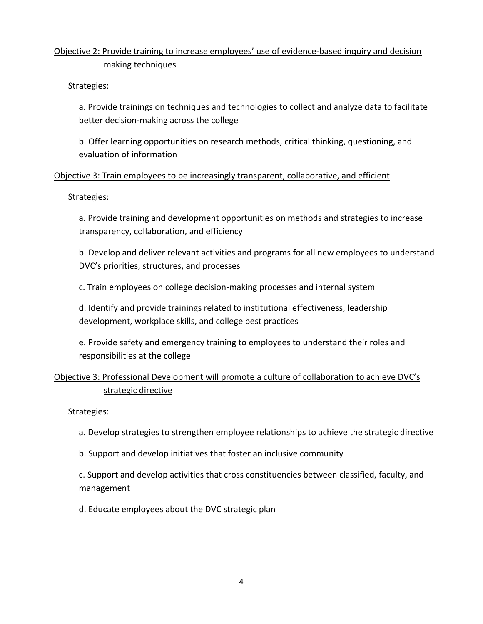## Objective 2: Provide training to increase employees' use of evidence-based inquiry and decision making techniques

#### Strategies:

a. Provide trainings on techniques and technologies to collect and analyze data to facilitate better decision-making across the college

b. Offer learning opportunities on research methods, critical thinking, questioning, and evaluation of information

#### Objective 3: Train employees to be increasingly transparent, collaborative, and efficient

Strategies:

a. Provide training and development opportunities on methods and strategies to increase transparency, collaboration, and efficiency

b. Develop and deliver relevant activities and programs for all new employees to understand DVC's priorities, structures, and processes

c. Train employees on college decision-making processes and internal system

d. Identify and provide trainings related to institutional effectiveness, leadership development, workplace skills, and college best practices

e. Provide safety and emergency training to employees to understand their roles and responsibilities at the college

### Objective 3: Professional Development will promote a culture of collaboration to achieve DVC's strategic directive

Strategies:

a. Develop strategies to strengthen employee relationships to achieve the strategic directive

b. Support and develop initiatives that foster an inclusive community

c. Support and develop activities that cross constituencies between classified, faculty, and management

d. Educate employees about the DVC strategic plan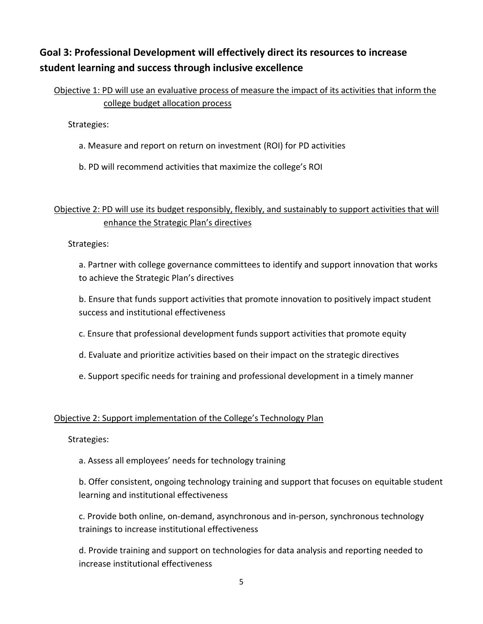## **Goal 3: Professional Development will effectively direct its resources to increase student learning and success through inclusive excellence**

## Objective 1: PD will use an evaluative process of measure the impact of its activities that inform the college budget allocation process

Strategies:

- a. Measure and report on return on investment (ROI) for PD activities
- b. PD will recommend activities that maximize the college's ROI

## Objective 2: PD will use its budget responsibly, flexibly, and sustainably to support activities that will enhance the Strategic Plan's directives

Strategies:

a. Partner with college governance committees to identify and support innovation that works to achieve the Strategic Plan's directives

b. Ensure that funds support activities that promote innovation to positively impact student success and institutional effectiveness

- c. Ensure that professional development funds support activities that promote equity
- d. Evaluate and prioritize activities based on their impact on the strategic directives
- e. Support specific needs for training and professional development in a timely manner

#### Objective 2: Support implementation of the College's Technology Plan

Strategies:

a. Assess all employees' needs for technology training

b. Offer consistent, ongoing technology training and support that focuses on equitable student learning and institutional effectiveness

c. Provide both online, on-demand, asynchronous and in-person, synchronous technology trainings to increase institutional effectiveness

d. Provide training and support on technologies for data analysis and reporting needed to increase institutional effectiveness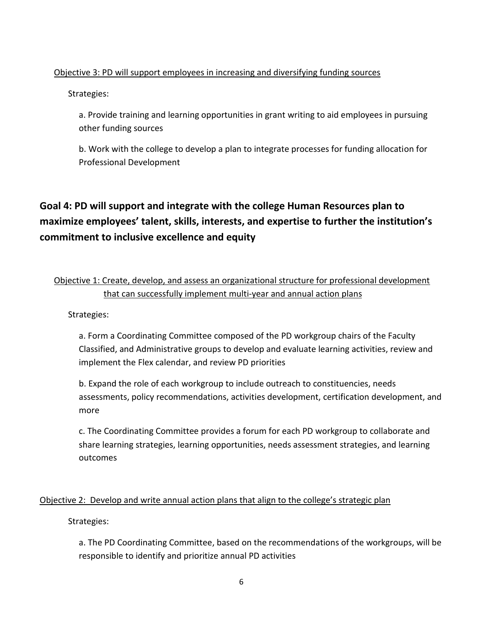#### Objective 3: PD will support employees in increasing and diversifying funding sources

Strategies:

a. Provide training and learning opportunities in grant writing to aid employees in pursuing other funding sources

b. Work with the college to develop a plan to integrate processes for funding allocation for Professional Development

## **Goal 4: PD will support and integrate with the college Human Resources plan to maximize employees' talent, skills, interests, and expertise to further the institution's commitment to inclusive excellence and equity**

## Objective 1: Create, develop, and assess an organizational structure for professional development that can successfully implement multi-year and annual action plans

Strategies:

a. Form a Coordinating Committee composed of the PD workgroup chairs of the Faculty Classified, and Administrative groups to develop and evaluate learning activities, review and implement the Flex calendar, and review PD priorities

b. Expand the role of each workgroup to include outreach to constituencies, needs assessments, policy recommendations, activities development, certification development, and more

c. The Coordinating Committee provides a forum for each PD workgroup to collaborate and share learning strategies, learning opportunities, needs assessment strategies, and learning outcomes

#### Objective 2: Develop and write annual action plans that align to the college's strategic plan

Strategies:

a. The PD Coordinating Committee, based on the recommendations of the workgroups, will be responsible to identify and prioritize annual PD activities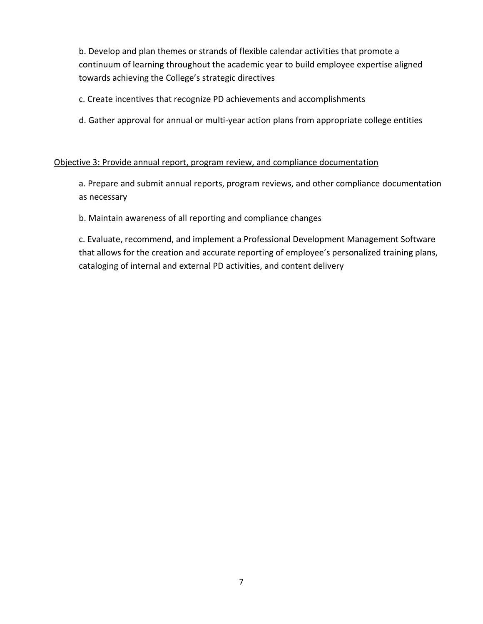b. Develop and plan themes or strands of flexible calendar activities that promote a continuum of learning throughout the academic year to build employee expertise aligned towards achieving the College's strategic directives

- c. Create incentives that recognize PD achievements and accomplishments
- d. Gather approval for annual or multi-year action plans from appropriate college entities

#### Objective 3: Provide annual report, program review, and compliance documentation

a. Prepare and submit annual reports, program reviews, and other compliance documentation as necessary

b. Maintain awareness of all reporting and compliance changes

c. Evaluate, recommend, and implement a Professional Development Management Software that allows for the creation and accurate reporting of employee's personalized training plans, cataloging of internal and external PD activities, and content delivery